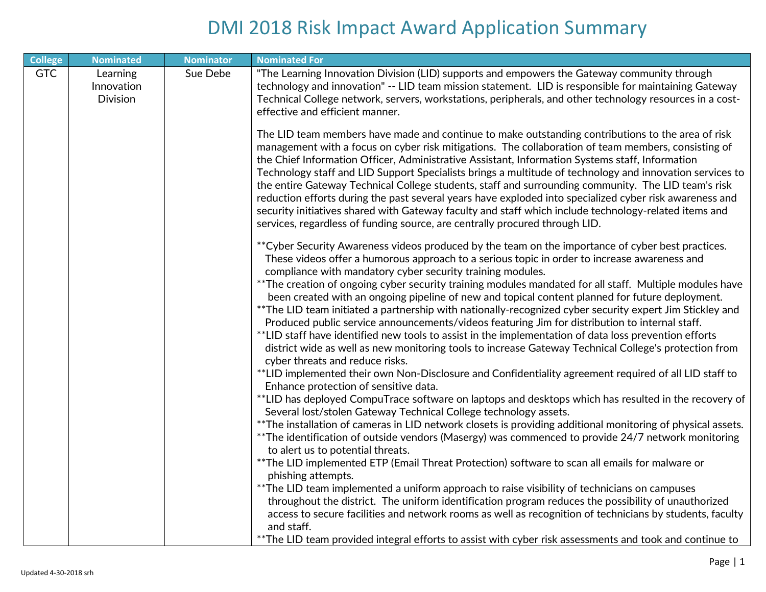| <b>Nominated</b>                          | <b>Nominator</b> | <b>Nominated For</b>                                                                                                                                                                                                                                                                                                                                                                                                                                                                                                                                                                                                                                                                                                                                                                                                                                                                                                                                                                                                                                                                                                                                                                                         |
|-------------------------------------------|------------------|--------------------------------------------------------------------------------------------------------------------------------------------------------------------------------------------------------------------------------------------------------------------------------------------------------------------------------------------------------------------------------------------------------------------------------------------------------------------------------------------------------------------------------------------------------------------------------------------------------------------------------------------------------------------------------------------------------------------------------------------------------------------------------------------------------------------------------------------------------------------------------------------------------------------------------------------------------------------------------------------------------------------------------------------------------------------------------------------------------------------------------------------------------------------------------------------------------------|
| Learning<br>Innovation<br><b>Division</b> | Sue Debe         | "The Learning Innovation Division (LID) supports and empowers the Gateway community through<br>technology and innovation" -- LID team mission statement. LID is responsible for maintaining Gateway<br>Technical College network, servers, workstations, peripherals, and other technology resources in a cost-<br>effective and efficient manner.                                                                                                                                                                                                                                                                                                                                                                                                                                                                                                                                                                                                                                                                                                                                                                                                                                                           |
|                                           |                  | The LID team members have made and continue to make outstanding contributions to the area of risk<br>management with a focus on cyber risk mitigations. The collaboration of team members, consisting of<br>the Chief Information Officer, Administrative Assistant, Information Systems staff, Information<br>Technology staff and LID Support Specialists brings a multitude of technology and innovation services to<br>the entire Gateway Technical College students, staff and surrounding community. The LID team's risk<br>reduction efforts during the past several years have exploded into specialized cyber risk awareness and<br>security initiatives shared with Gateway faculty and staff which include technology-related items and<br>services, regardless of funding source, are centrally procured through LID.                                                                                                                                                                                                                                                                                                                                                                            |
|                                           |                  | ** Cyber Security Awareness videos produced by the team on the importance of cyber best practices.<br>These videos offer a humorous approach to a serious topic in order to increase awareness and<br>compliance with mandatory cyber security training modules.<br>**The creation of ongoing cyber security training modules mandated for all staff. Multiple modules have<br>been created with an ongoing pipeline of new and topical content planned for future deployment.<br>** The LID team initiated a partnership with nationally-recognized cyber security expert Jim Stickley and<br>Produced public service announcements/videos featuring Jim for distribution to internal staff.<br>**LID staff have identified new tools to assist in the implementation of data loss prevention efforts<br>district wide as well as new monitoring tools to increase Gateway Technical College's protection from<br>cyber threats and reduce risks.<br>**LID implemented their own Non-Disclosure and Confidentiality agreement required of all LID staff to<br>Enhance protection of sensitive data.<br>**LID has deployed CompuTrace software on laptops and desktops which has resulted in the recovery of |
|                                           |                  | Several lost/stolen Gateway Technical College technology assets.<br>**The installation of cameras in LID network closets is providing additional monitoring of physical assets.<br>**The identification of outside vendors (Masergy) was commenced to provide 24/7 network monitoring<br>to alert us to potential threats.<br>**The LID implemented ETP (Email Threat Protection) software to scan all emails for malware or<br>phishing attempts.<br>**The LID team implemented a uniform approach to raise visibility of technicians on campuses<br>throughout the district. The uniform identification program reduces the possibility of unauthorized<br>access to secure facilities and network rooms as well as recognition of technicians by students, faculty<br>and staff.<br>**The LID team provided integral efforts to assist with cyber risk assessments and took and continue to                                                                                                                                                                                                                                                                                                               |
|                                           |                  |                                                                                                                                                                                                                                                                                                                                                                                                                                                                                                                                                                                                                                                                                                                                                                                                                                                                                                                                                                                                                                                                                                                                                                                                              |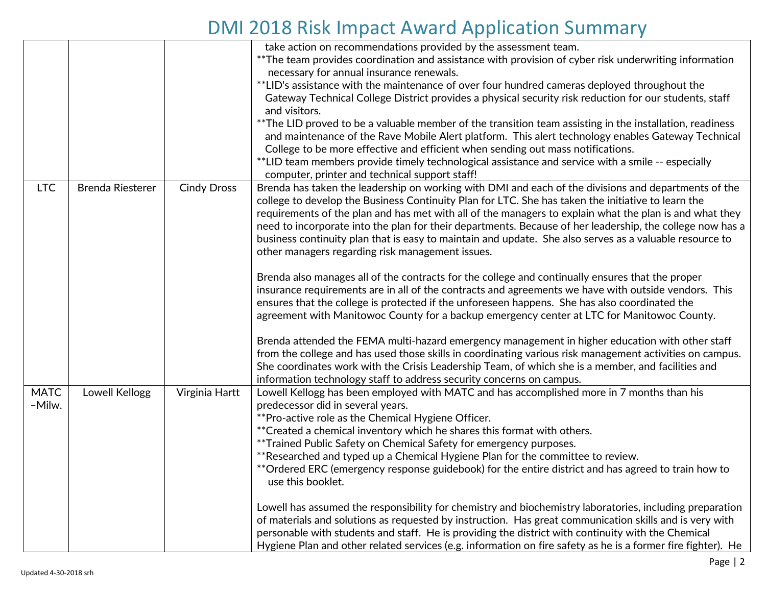|             |                  |                    | take action on recommendations provided by the assessment team.                                              |
|-------------|------------------|--------------------|--------------------------------------------------------------------------------------------------------------|
|             |                  |                    | **The team provides coordination and assistance with provision of cyber risk underwriting information        |
|             |                  |                    | necessary for annual insurance renewals.                                                                     |
|             |                  |                    | **LID's assistance with the maintenance of over four hundred cameras deployed throughout the                 |
|             |                  |                    | Gateway Technical College District provides a physical security risk reduction for our students, staff       |
|             |                  |                    | and visitors.                                                                                                |
|             |                  |                    | **The LID proved to be a valuable member of the transition team assisting in the installation, readiness     |
|             |                  |                    | and maintenance of the Rave Mobile Alert platform. This alert technology enables Gateway Technical           |
|             |                  |                    | College to be more effective and efficient when sending out mass notifications.                              |
|             |                  |                    | **LID team members provide timely technological assistance and service with a smile -- especially            |
|             |                  |                    | computer, printer and technical support staff!                                                               |
| <b>LTC</b>  | Brenda Riesterer | <b>Cindy Dross</b> | Brenda has taken the leadership on working with DMI and each of the divisions and departments of the         |
|             |                  |                    | college to develop the Business Continuity Plan for LTC. She has taken the initiative to learn the           |
|             |                  |                    | requirements of the plan and has met with all of the managers to explain what the plan is and what they      |
|             |                  |                    | need to incorporate into the plan for their departments. Because of her leadership, the college now has a    |
|             |                  |                    | business continuity plan that is easy to maintain and update. She also serves as a valuable resource to      |
|             |                  |                    | other managers regarding risk management issues.                                                             |
|             |                  |                    |                                                                                                              |
|             |                  |                    | Brenda also manages all of the contracts for the college and continually ensures that the proper             |
|             |                  |                    | insurance requirements are in all of the contracts and agreements we have with outside vendors. This         |
|             |                  |                    | ensures that the college is protected if the unforeseen happens. She has also coordinated the                |
|             |                  |                    | agreement with Manitowoc County for a backup emergency center at LTC for Manitowoc County.                   |
|             |                  |                    | Brenda attended the FEMA multi-hazard emergency management in higher education with other staff              |
|             |                  |                    | from the college and has used those skills in coordinating various risk management activities on campus.     |
|             |                  |                    | She coordinates work with the Crisis Leadership Team, of which she is a member, and facilities and           |
|             |                  |                    | information technology staff to address security concerns on campus.                                         |
| <b>MATC</b> | Lowell Kellogg   | Virginia Hartt     | Lowell Kellogg has been employed with MATC and has accomplished more in 7 months than his                    |
| -Milw.      |                  |                    | predecessor did in several years.                                                                            |
|             |                  |                    | **Pro-active role as the Chemical Hygiene Officer.                                                           |
|             |                  |                    | ** Created a chemical inventory which he shares this format with others.                                     |
|             |                  |                    | **Trained Public Safety on Chemical Safety for emergency purposes.                                           |
|             |                  |                    | **Researched and typed up a Chemical Hygiene Plan for the committee to review.                               |
|             |                  |                    | **Ordered ERC (emergency response guidebook) for the entire district and has agreed to train how to          |
|             |                  |                    | use this booklet.                                                                                            |
|             |                  |                    | Lowell has assumed the responsibility for chemistry and biochemistry laboratories, including preparation     |
|             |                  |                    | of materials and solutions as requested by instruction. Has great communication skills and is very with      |
|             |                  |                    | personable with students and staff. He is providing the district with continuity with the Chemical           |
|             |                  |                    | Hygiene Plan and other related services (e.g. information on fire safety as he is a former fire fighter). He |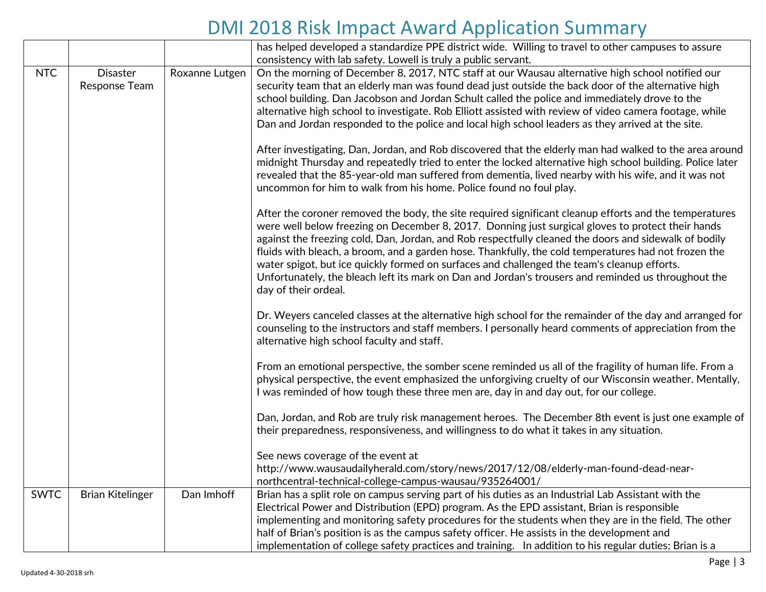|             |                                  |                | has helped developed a standardize PPE district wide. Willing to travel to other campuses to assure                                                                                                                                                                                                                                                                                                                                                                                                                                                                                                                                                        |
|-------------|----------------------------------|----------------|------------------------------------------------------------------------------------------------------------------------------------------------------------------------------------------------------------------------------------------------------------------------------------------------------------------------------------------------------------------------------------------------------------------------------------------------------------------------------------------------------------------------------------------------------------------------------------------------------------------------------------------------------------|
|             |                                  |                | consistency with lab safety. Lowell is truly a public servant.                                                                                                                                                                                                                                                                                                                                                                                                                                                                                                                                                                                             |
| <b>NTC</b>  | <b>Disaster</b><br>Response Team | Roxanne Lutgen | On the morning of December 8, 2017, NTC staff at our Wausau alternative high school notified our<br>security team that an elderly man was found dead just outside the back door of the alternative high<br>school building. Dan Jacobson and Jordan Schult called the police and immediately drove to the<br>alternative high school to investigate. Rob Elliott assisted with review of video camera footage, while<br>Dan and Jordan responded to the police and local high school leaders as they arrived at the site.                                                                                                                                  |
|             |                                  |                | After investigating, Dan, Jordan, and Rob discovered that the elderly man had walked to the area around<br>midnight Thursday and repeatedly tried to enter the locked alternative high school building. Police later<br>revealed that the 85-year-old man suffered from dementia, lived nearby with his wife, and it was not<br>uncommon for him to walk from his home. Police found no foul play.                                                                                                                                                                                                                                                         |
|             |                                  |                | After the coroner removed the body, the site required significant cleanup efforts and the temperatures<br>were well below freezing on December 8, 2017. Donning just surgical gloves to protect their hands<br>against the freezing cold, Dan, Jordan, and Rob respectfully cleaned the doors and sidewalk of bodily<br>fluids with bleach, a broom, and a garden hose. Thankfully, the cold temperatures had not frozen the<br>water spigot, but ice quickly formed on surfaces and challenged the team's cleanup efforts.<br>Unfortunately, the bleach left its mark on Dan and Jordan's trousers and reminded us throughout the<br>day of their ordeal. |
|             |                                  |                | Dr. Weyers canceled classes at the alternative high school for the remainder of the day and arranged for<br>counseling to the instructors and staff members. I personally heard comments of appreciation from the<br>alternative high school faculty and staff.                                                                                                                                                                                                                                                                                                                                                                                            |
|             |                                  |                | From an emotional perspective, the somber scene reminded us all of the fragility of human life. From a<br>physical perspective, the event emphasized the unforgiving cruelty of our Wisconsin weather. Mentally,<br>I was reminded of how tough these three men are, day in and day out, for our college.                                                                                                                                                                                                                                                                                                                                                  |
|             |                                  |                | Dan, Jordan, and Rob are truly risk management heroes. The December 8th event is just one example of<br>their preparedness, responsiveness, and willingness to do what it takes in any situation.                                                                                                                                                                                                                                                                                                                                                                                                                                                          |
|             |                                  |                | See news coverage of the event at<br>http://www.wausaudailyherald.com/story/news/2017/12/08/elderly-man-found-dead-near-<br>northcentral-technical-college-campus-wausau/935264001/                                                                                                                                                                                                                                                                                                                                                                                                                                                                        |
| <b>SWTC</b> | <b>Brian Kitelinger</b>          | Dan Imhoff     | Brian has a split role on campus serving part of his duties as an Industrial Lab Assistant with the<br>Electrical Power and Distribution (EPD) program. As the EPD assistant, Brian is responsible<br>implementing and monitoring safety procedures for the students when they are in the field. The other<br>half of Brian's position is as the campus safety officer. He assists in the development and<br>implementation of college safety practices and training. In addition to his regular duties; Brian is a                                                                                                                                        |